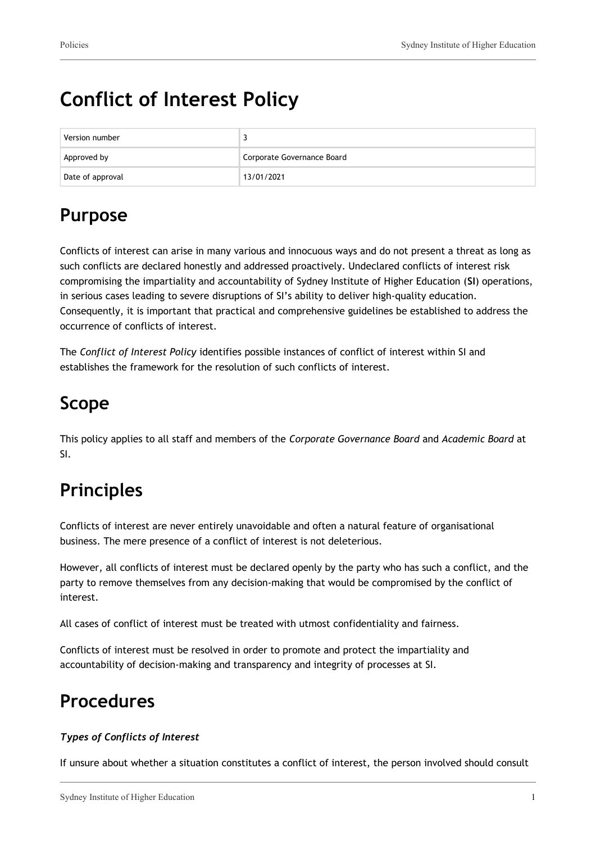# **Conflict of Interest Policy**

| Version number   |                            |
|------------------|----------------------------|
| Approved by      | Corporate Governance Board |
| Date of approval | 13/01/2021                 |

## **Purpose**

Conflicts of interest can arise in many various and innocuous ways and do not present a threat as long as such conflicts are declared honestly and addressed proactively. Undeclared conflicts of interest risk compromising the impartiality and accountability of Sydney Institute of Higher Education (**SI**) operations, in serious cases leading to severe disruptions of SI's ability to deliver high-quality education. Consequently, it is important that practical and comprehensive guidelines be established to address the occurrence of conflicts of interest.

The *Conflict of Interest Policy* identifies possible instances of conflict of interest within SI and establishes the framework for the resolution of such conflicts of interest.

## **Scope**

This policy applies to all staff and members of the *Corporate Governance Board* and *Academic Board* at SI.

# **Principles**

Conflicts of interest are never entirely unavoidable and often a natural feature of organisational business. The mere presence of a conflict of interest is not deleterious.

However, all conflicts of interest must be declared openly by the party who has such a conflict, and the party to remove themselves from any decision-making that would be compromised by the conflict of interest.

All cases of conflict of interest must be treated with utmost confidentiality and fairness.

Conflicts of interest must be resolved in order to promote and protect the impartiality and accountability of decision-making and transparency and integrity of processes at SI.

## **Procedures**

#### *Types of Conflicts of Interest*

If unsure about whether a situation constitutes a conflict of interest, the person involved should consult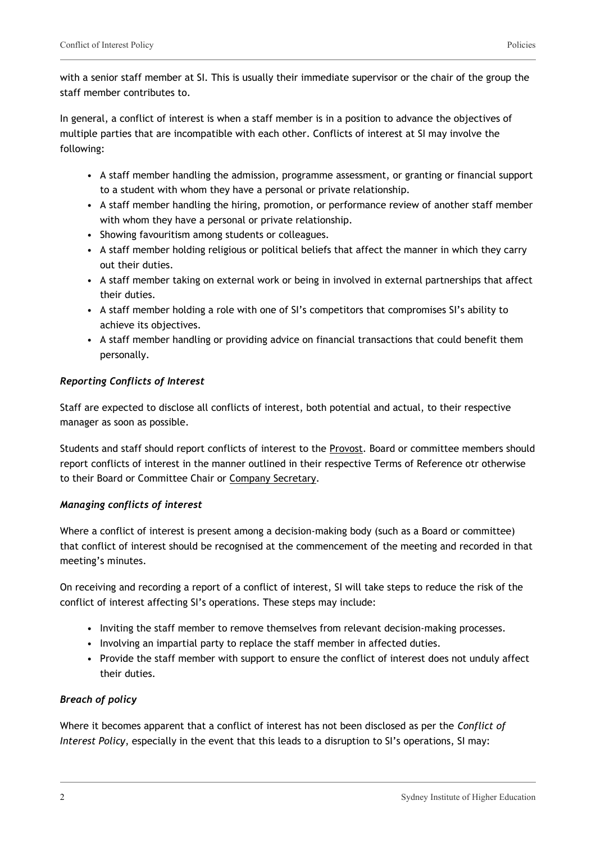with a senior staff member at SI. This is usually their immediate supervisor or the chair of the group the staff member contributes to.

In general, a conflict of interest is when a staff member is in a position to advance the objectives of multiple parties that are incompatible with each other. Conflicts of interest at SI may involve the following:

- A staff member handling the admission, programme assessment, or granting or financial support to a student with whom they have a personal or private relationship.
- A staff member handling the hiring, promotion, or performance review of another staff member with whom they have a personal or private relationship.
- Showing favouritism among students or colleagues.
- A staff member holding religious or political beliefs that affect the manner in which they carry out their duties.
- A staff member taking on external work or being in involved in external partnerships that affect their duties.
- A staff member holding a role with one of SI's competitors that compromises SI's ability to achieve its objectives.
- A staff member handling or providing advice on financial transactions that could benefit them personally.

#### *Reporting Conflicts of Interest*

Staff are expected to disclose all conflicts of interest, both potential and actual, to their respective manager as soon as possible.

Students and staff should report conflicts of interest to the Provost. Board or committee members should report conflicts of interest in the manner outlined in their respective Terms of Reference otr otherwise to their Board or Committee Chair or Company Secretary.

#### *Managing conflicts of interest*

Where a conflict of interest is present among a decision-making body (such as a Board or committee) that conflict of interest should be recognised at the commencement of the meeting and recorded in that meeting's minutes.

On receiving and recording a report of a conflict of interest, SI will take steps to reduce the risk of the conflict of interest affecting SI's operations. These steps may include:

- Inviting the staff member to remove themselves from relevant decision-making processes.
- Involving an impartial party to replace the staff member in affected duties.
- Provide the staff member with support to ensure the conflict of interest does not unduly affect their duties.

#### *Breach of policy*

Where it becomes apparent that a conflict of interest has not been disclosed as per the *Conflict of Interest Policy*, especially in the event that this leads to a disruption to SI's operations, SI may: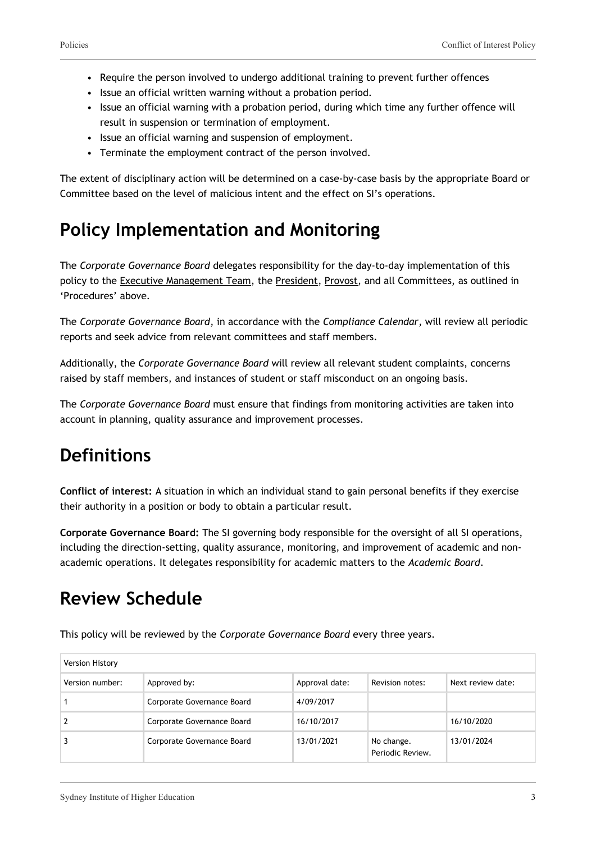- Require the person involved to undergo additional training to prevent further offences
- Issue an official written warning without a probation period.
- Issue an official warning with a probation period, during which time any further offence will result in suspension or termination of employment.
- Issue an official warning and suspension of employment.
- Terminate the employment contract of the person involved.

The extent of disciplinary action will be determined on a case-by-case basis by the appropriate Board or Committee based on the level of malicious intent and the effect on SI's operations.

### **Policy Implementation and Monitoring**

The *Corporate Governance Board* delegates responsibility for the day-to-day implementation of this policy to the Executive Management Team, the President, Provost, and all Committees, as outlined in 'Procedures' above.

The *Corporate Governance Board*, in accordance with the *Compliance Calendar*, will review all periodic reports and seek advice from relevant committees and staff members.

Additionally, the *Corporate Governance Board* will review all relevant student complaints, concerns raised by staff members, and instances of student or staff misconduct on an ongoing basis.

The *Corporate Governance Board* must ensure that findings from monitoring activities are taken into account in planning, quality assurance and improvement processes.

## **Definitions**

**Conflict of interest:** A situation in which an individual stand to gain personal benefits if they exercise their authority in a position or body to obtain a particular result.

**Corporate Governance Board:** The SI governing body responsible for the oversight of all SI operations, including the direction-setting, quality assurance, monitoring, and improvement of academic and nonacademic operations. It delegates responsibility for academic matters to the *Academic Board*.

### **Review Schedule**

This policy will be reviewed by the *Corporate Governance Board* every three years.

| Version History |                            |                |                                |                   |
|-----------------|----------------------------|----------------|--------------------------------|-------------------|
| Version number: | Approved by:               | Approval date: | Revision notes:                | Next review date: |
|                 | Corporate Governance Board | 4/09/2017      |                                |                   |
|                 | Corporate Governance Board | 16/10/2017     |                                | 16/10/2020        |
|                 | Corporate Governance Board | 13/01/2021     | No change.<br>Periodic Review. | 13/01/2024        |